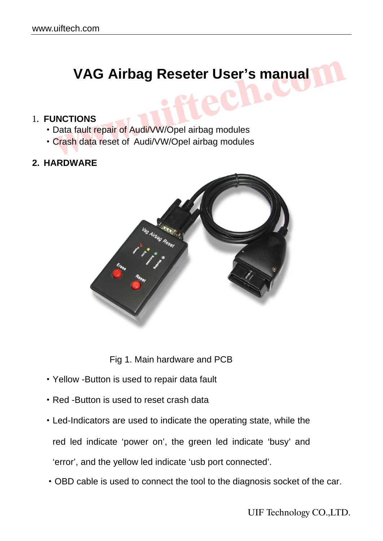# **VAG Airbag Reseter User's manual**

#### 1. **FUNCTIONS**

- ·Data fault repair of Audi/VW/Opel airbag modules
- ·Crash data reset of Audi/VW/Opel airbag modules

#### **2. HARDWARE**



Fig 1. Main hardware and PCB

- ·Yellow -Button is used to repair data fault
- ·Red -Button is used to reset crash data
- ·Led-Indicators are used to indicate the operating state, while the

red led indicate 'power on', the green led indicate 'busy' and

'error', and the yellow led indicate 'usb port connected'.

·OBD cable is used to connect the tool to the diagnosis socket of the car.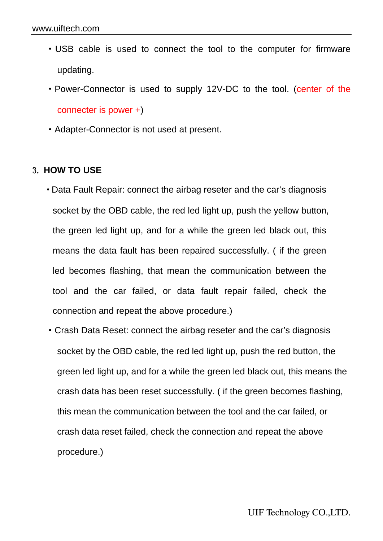- ·USB cable is used to connect the tool to the computer for firmware updating.
- ·Power-Connector is used to supply 12V-DC to the tool. (center of the connecter is power +)
- ·Adapter-Connector is not used at present.

#### 3. **HOW TO USE**

- ·Data Fault Repair: connect the airbag reseter and the car's diagnosis socket by the OBD cable, the red led light up, push the yellow button, the green led light up, and for a while the green led black out, this means the data fault has been repaired successfully. ( if the green led becomes flashing, that mean the communication between the tool and the car failed, or data fault repair failed, check the connection and repeat the above procedure.)
- ·Crash Data Reset: connect the airbag reseter and the car's diagnosis socket by the OBD cable, the red led light up, push the red button, the green led light up, and for a while the green led black out, this means the crash data has been reset successfully. ( if the green becomes flashing, this mean the communication between the tool and the car failed, or crash data reset failed, check the connection and repeat the above procedure.)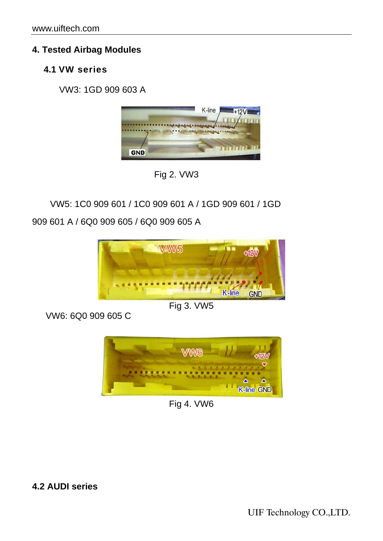# **4. Tested Airbag Modules**

# **4.1 VW series**

VW3: 1GD 909 603 A





VW5: 1C0 909 601 / 1C0 909 601 A / 1GD 909 601 / 1GD 909 601 A / 6Q0 909 605 / 6Q0 909 605 A



### Fig 3. VW5

VW6: 6Q0 909 605 C



Fig 4. VW6

**4.2 AUDI series**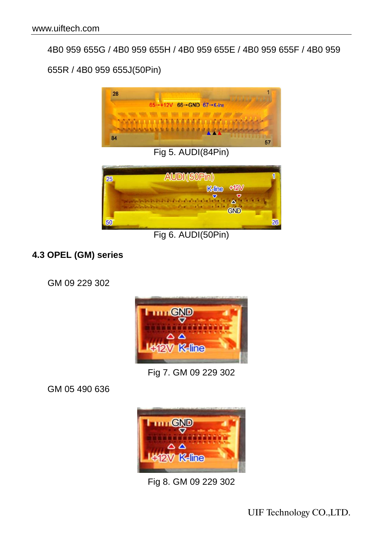4B0 959 655G / 4B0 959 655H / 4B0 959 655E / 4B0 959 655F / 4B0 959

655R / 4B0 959 655J(50Pin)



Fig 5. AUDI(84Pin)



Fig 6. AUDI(50Pin)

### **4.3 OPEL (GM) series**

GM 09 229 302



Fig 7. GM 09 229 302

GM 05 490 636



Fig 8. GM 09 229 302

UIF Technology CO.,LTD.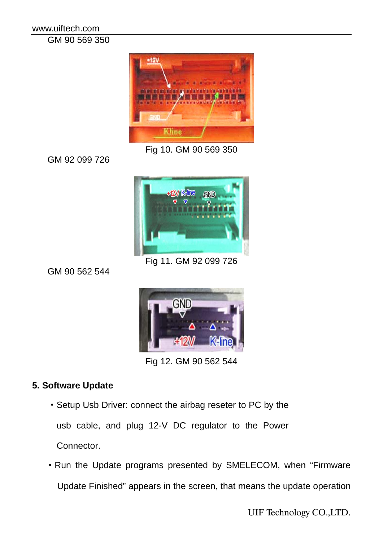www.uiftech.com GM 90 569 350



Fig 10. GM 90 569 350

GM 92 099 726



Fig 11. GM 92 099 726

GM 90 562 544



Fig 12. GM 90 562 544

# **5. Software Update**

- ·Setup Usb Driver: connect the airbag reseter to PC by the usb cable, and plug 12-V DC regulator to the Power Connector.
- ·Run the Update programs presented by SMELECOM, when "Firmware Update Finished" appears in the screen, that means the update operation